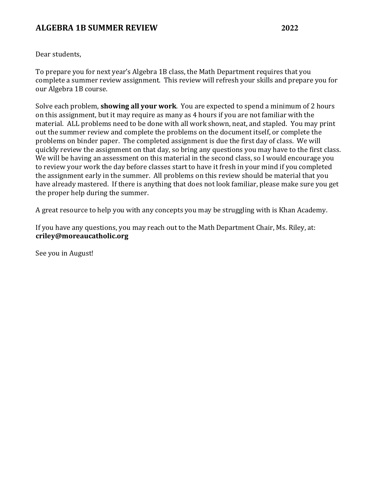Dear students,

To prepare you for next year's Algebra 1B class, the Math Department requires that you complete a summer review assignment. This review will refresh your skills and prepare you for our Algebra 1B course.

Solve each problem, **showing all your work**. You are expected to spend a minimum of 2 hours on this assignment, but it may require as many as 4 hours if you are not familiar with the material. ALL problems need to be done with all work shown, neat, and stapled. You may print out the summer review and complete the problems on the document itself, or complete the problems on binder paper. The completed assignment is due the first day of class. We will quickly review the assignment on that day, so bring any questions you may have to the first class. We will be having an assessment on this material in the second class, so I would encourage you to review your work the day before classes start to have it fresh in your mind if you completed the assignment early in the summer. All problems on this review should be material that you have already mastered. If there is anything that does not look familiar, please make sure you get the proper help during the summer.

A great resource to help you with any concepts you may be struggling with is Khan Academy.

If you have any questions, you may reach out to the Math Department Chair, Ms. Riley, at: **criley@moreaucatholic.org**

See you in August!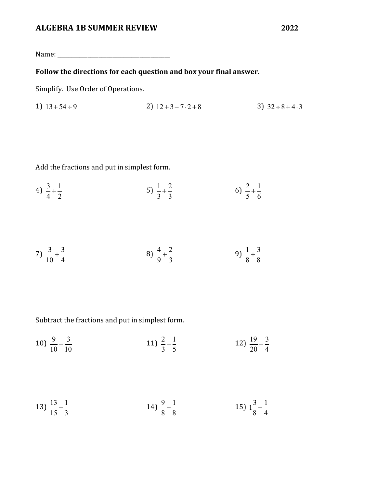Name: \_\_\_\_\_\_\_\_\_\_\_\_\_\_\_\_\_\_\_\_\_\_\_\_\_\_\_\_\_\_\_\_\_\_\_\_\_\_\_\_\_

# Follow the directions for each question and box your final answer.

Simplify. Use Order of Operations.

1) 
$$
13+54 \div 9
$$
  
2)  $12+3-7 \cdot 2+8$   
3)  $32 \div 8 + 4 \cdot 3$ 

Add the fractions and put in simplest form.

4) 
$$
\frac{3}{4} + \frac{1}{2}
$$
 5)  $\frac{1}{3} + \frac{2}{3}$  6)  $\frac{2}{5} + \frac{1}{6}$ 

$$
7) \frac{3}{10} + \frac{3}{4} \qquad \qquad 8) \frac{4}{9} + \frac{2}{3} \qquad \qquad 9) \frac{1}{8} + \frac{3}{8}
$$

Subtract the fractions and put in simplest form.

10) 
$$
\frac{9}{10} - \frac{3}{10}
$$
 11)  $\frac{2}{3} - \frac{1}{5}$  12)  $\frac{19}{20} - \frac{3}{4}$ 

$$
13) \frac{13}{15} - \frac{1}{3} \qquad \qquad 14) \frac{9}{8} - \frac{1}{8} \qquad \qquad 15) \frac{3}{8} - \frac{1}{4}
$$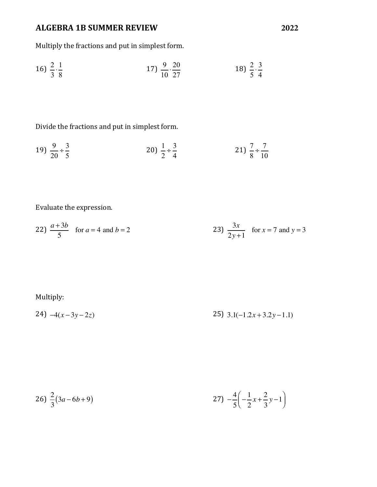Multiply the fractions and put in simplest form.

16) 
$$
\frac{2}{3} \cdot \frac{1}{8}
$$
 17)  $\frac{9}{10} \cdot \frac{20}{27}$  18)  $\frac{2}{5} \cdot \frac{3}{4}$ 

Divide the fractions and put in simplest form.

$$
19) \frac{9}{20} \div \frac{3}{5} \qquad \qquad 20) \frac{1}{2} \div \frac{3}{4} \qquad \qquad 21) \frac{7}{8} \div \frac{7}{10}
$$

Evaluate the expression.

22) 
$$
\frac{a+3b}{5}
$$
 for  $a = 4$  and  $b = 2$   
23)  $\frac{3x}{2y+1}$  for  $x = 7$  and  $y = 3$ 

Multiply:

$$
24) -4(x-3y-2z) \qquad \qquad 25) \quad 3.1(-1.2x+3.2y-1.1)
$$

$$
26) \frac{2}{3}(3a - 6b + 9) \qquad 27) - \frac{4}{5} \left( -\frac{1}{2}x + \frac{2}{3}y - 1 \right)
$$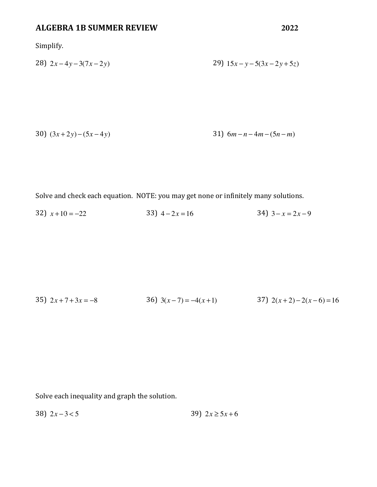**2022**

Simplify.

$$
28) 2x-4y-3(7x-2y)
$$
  
29) 15x - y-5(3x-2y+5z)

30) 
$$
(3x+2y)-(5x-4y)
$$
 31)  $6m-n-4m-(5n-m)$ 

Solve and check each equation. NOTE: you may get none or infinitely many solutions.

32)  $x+10 = -22$  33)  $4-2x = 16$  $34)$   $3 - x = 2x - 9$ 

35) 
$$
2x+7+3x = -8
$$
  
36)  $3(x-7) = -4(x+1)$   
37)  $2(x+2)-2(x-6) = 16$ 

Solve each inequality and graph the solution.

$$
38) \ 2x - 3 < 5 \qquad \qquad 39) \ 2x \ge 5x + 6
$$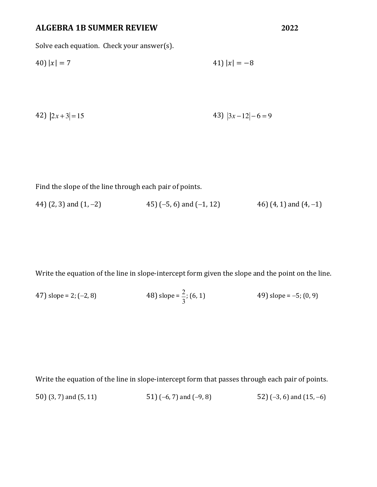Solve each equation. Check your answer(s).

40) || = 7 41) || = −8

42) 
$$
|2x+3|=15
$$
 43)  $|3x-12|-6=9$ 

Find the slope of the line through each pair of points.

44) (2, 3) and (1, -2)  $45$  (-5, 6) and (-1, 12)  $46$  (4, 1) and (4, -1)

Write the equation of the line in slope-intercept form given the slope and the point on the line.

47) slope = 2; (-2, 8)   
48) slope = 
$$
\frac{2}{3}
$$
; (6, 1)   
49) slope = -5; (0, 9)

Write the equation of the line in slope-intercept form that passes through each pair of points. 50) (3, 7) and (5, 11) 51) (-6, 7) and (-9, 8) 52) (-3, 6) and (15, -6)